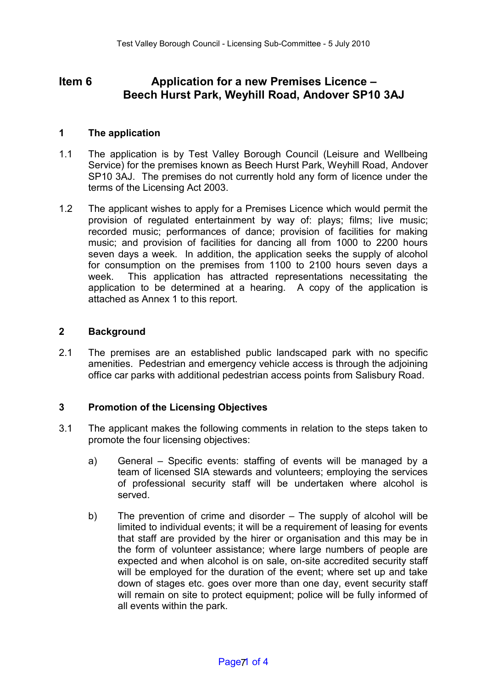# **Item 6 Application for a new Premises Licence – Beech Hurst Park, Weyhill Road, Andover SP10 3AJ**

## **1 The application**

- 1.1 The application is by Test Valley Borough Council (Leisure and Wellbeing Service) for the premises known as Beech Hurst Park, Weyhill Road, Andover SP10 3AJ. The premises do not currently hold any form of licence under the terms of the Licensing Act 2003.
- 1.2 The applicant wishes to apply for a Premises Licence which would permit the provision of regulated entertainment by way of: plays; films; live music; recorded music; performances of dance; provision of facilities for making music; and provision of facilities for dancing all from 1000 to 2200 hours seven days a week. In addition, the application seeks the supply of alcohol for consumption on the premises from 1100 to 2100 hours seven days a week. This application has attracted representations necessitating the application to be determined at a hearing. A copy of the application is attached as Annex 1 to this report.

## **2 Background**

2.1 The premises are an established public landscaped park with no specific amenities. Pedestrian and emergency vehicle access is through the adjoining office car parks with additional pedestrian access points from Salisbury Road.

## **3 Promotion of the Licensing Objectives**

- 3.1 The applicant makes the following comments in relation to the steps taken to promote the four licensing objectives:
	- a) General Specific events: staffing of events will be managed by a team of licensed SIA stewards and volunteers; employing the services of professional security staff will be undertaken where alcohol is served.
	- b) The prevention of crime and disorder The supply of alcohol will be limited to individual events; it will be a requirement of leasing for events that staff are provided by the hirer or organisation and this may be in the form of volunteer assistance; where large numbers of people are expected and when alcohol is on sale, on-site accredited security staff will be employed for the duration of the event; where set up and take down of stages etc. goes over more than one day, event security staff will remain on site to protect equipment; police will be fully informed of all events within the park.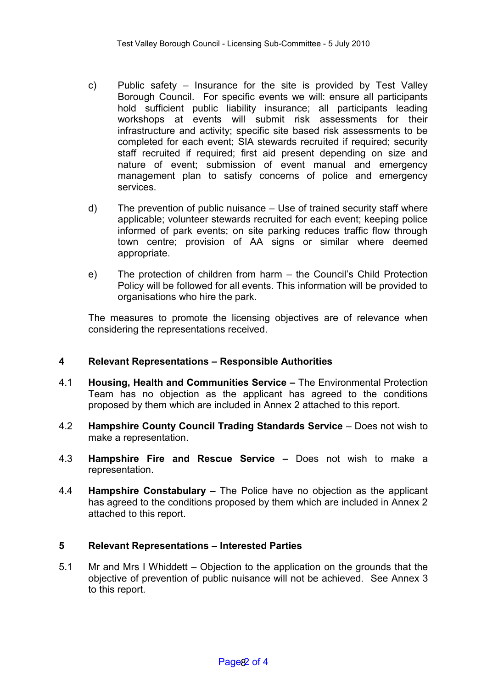- c) Public safety Insurance for the site is provided by Test Valley Borough Council. For specific events we will: ensure all participants hold sufficient public liability insurance; all participants leading workshops at events will submit risk assessments for their infrastructure and activity; specific site based risk assessments to be completed for each event; SIA stewards recruited if required; security staff recruited if required; first aid present depending on size and nature of event; submission of event manual and emergency management plan to satisfy concerns of police and emergency services.
- d) The prevention of public nuisance Use of trained security staff where applicable; volunteer stewards recruited for each event; keeping police informed of park events; on site parking reduces traffic flow through town centre; provision of AA signs or similar where deemed appropriate.
- e) The protection of children from harm the Council's Child Protection Policy will be followed for all events. This information will be provided to organisations who hire the park.

The measures to promote the licensing objectives are of relevance when considering the representations received.

## **4 Relevant Representations – Responsible Authorities**

- 4.1 **Housing, Health and Communities Service –** The Environmental Protection Team has no objection as the applicant has agreed to the conditions proposed by them which are included in Annex 2 attached to this report.
- 4.2 **Hampshire County Council Trading Standards Service** Does not wish to make a representation.
- 4.3 **Hampshire Fire and Rescue Service –** Does not wish to make a representation.
- 4.4 **Hampshire Constabulary –** The Police have no objection as the applicant has agreed to the conditions proposed by them which are included in Annex 2 attached to this report.

## **5 Relevant Representations – Interested Parties**

5.1 Mr and Mrs I Whiddett – Objection to the application on the grounds that the objective of prevention of public nuisance will not be achieved. See Annex 3 to this report.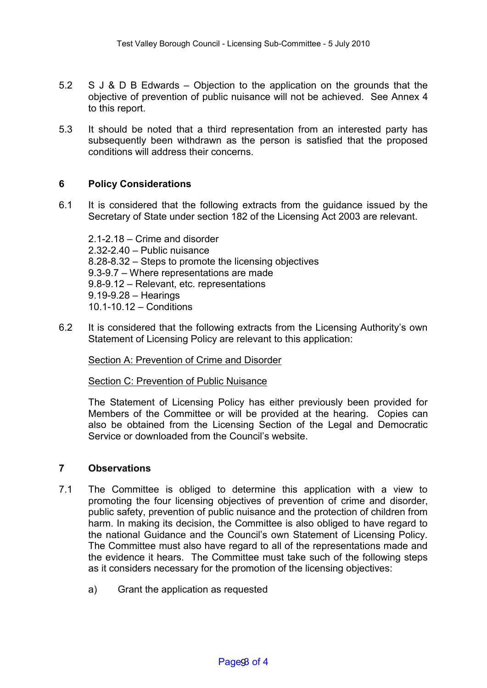- 5.2 S J & D B Edwards Objection to the application on the grounds that the objective of prevention of public nuisance will not be achieved. See Annex 4 to this report.
- 5.3 It should be noted that a third representation from an interested party has subsequently been withdrawn as the person is satisfied that the proposed conditions will address their concerns.

### **6 Policy Considerations**

6.1 It is considered that the following extracts from the guidance issued by the Secretary of State under section 182 of the Licensing Act 2003 are relevant.

2.1-2.18 – Crime and disorder 2.32-2.40 – Public nuisance 8.28-8.32 – Steps to promote the licensing objectives 9.3-9.7 – Where representations are made 9.8-9.12 – Relevant, etc. representations 9.19-9.28 – Hearings 10.1-10.12 – Conditions

6.2 It is considered that the following extracts from the Licensing Authority's own Statement of Licensing Policy are relevant to this application:

Section A: Prevention of Crime and Disorder

Section C: Prevention of Public Nuisance

The Statement of Licensing Policy has either previously been provided for Members of the Committee or will be provided at the hearing. Copies can also be obtained from the Licensing Section of the Legal and Democratic Service or downloaded from the Council's website.

### **7 Observations**

- 7.1 The Committee is obliged to determine this application with a view to promoting the four licensing objectives of prevention of crime and disorder, public safety, prevention of public nuisance and the protection of children from harm. In making its decision, the Committee is also obliged to have regard to the national Guidance and the Council's own Statement of Licensing Policy. The Committee must also have regard to all of the representations made and the evidence it hears. The Committee must take such of the following steps as it considers necessary for the promotion of the licensing objectives:
	- a) Grant the application as requested